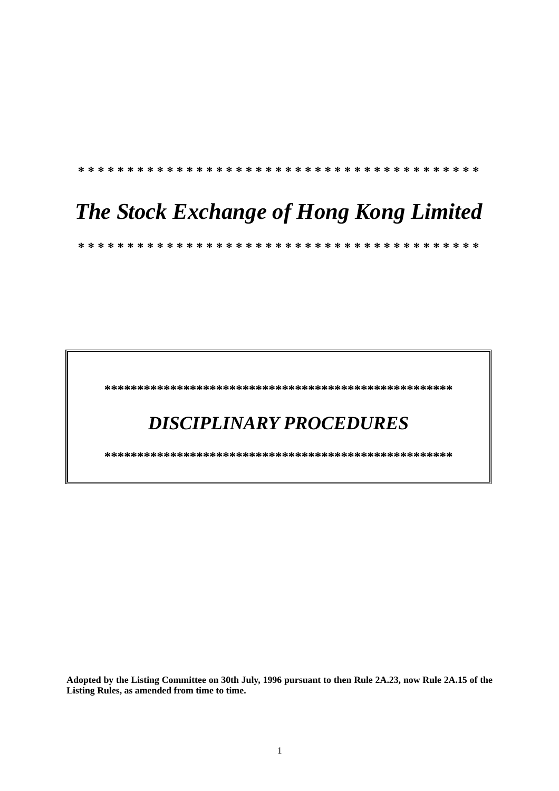**\* \* \* \* \* \* \* \* \* \* \* \* \* \* \* \* \* \* \* \* \* \* \* \* \* \* \* \* \* \* \* \* \* \* \* \* \* \* \* \* \***

# *The Stock Exchange of Hong Kong Limited*

 **\* \* \* \* \* \* \* \* \* \* \* \* \* \* \* \* \* \* \* \* \* \* \* \* \* \* \* \* \* \* \* \* \* \* \* \* \* \* \* \* \*** 

 **\*\*\*\*\*\*\*\*\*\*\*\*\*\*\*\*\*\*\*\*\*\*\*\*\*\*\*\*\*\*\*\*\*\*\*\*\*\*\*\*\*\*\*\*\*\*\*\*\*\*\*\*\*** 

# *DISCIPLINARY PROCEDURES*

 **\*\*\*\*\*\*\*\*\*\*\*\*\*\*\*\*\*\*\*\*\*\*\*\*\*\*\*\*\*\*\*\*\*\*\*\*\*\*\*\*\*\*\*\*\*\*\*\*\*\*\*\*\*** 

**Adopted by the Listing Committee on 30th July, 1996 pursuant to then Rule 2A.23, now Rule 2A.15 of the Listing Rules, as amended from time to time.**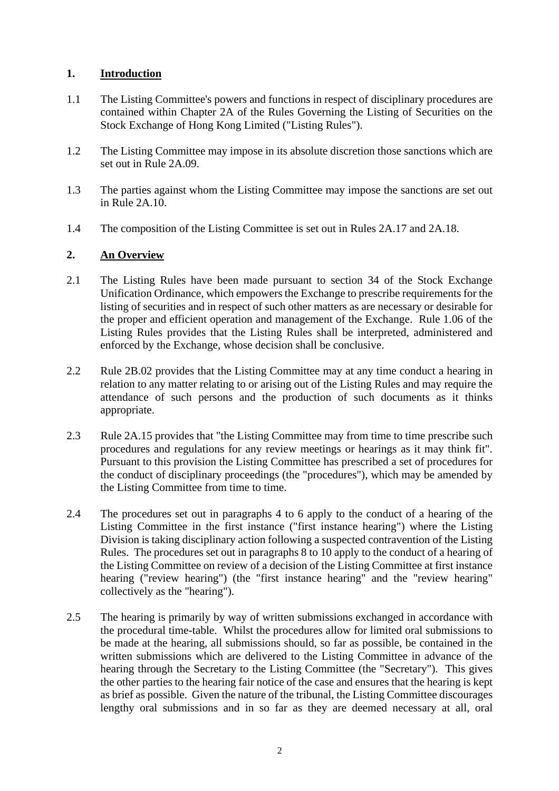# **1. Introduction**

- 1.1 The Listing Committee's powers and functions in respect of disciplinary procedures are contained within Chapter 2A of the Rules Governing the Listing of Securities on the Stock Exchange of Hong Kong Limited ("Listing Rules").
- 1.2 The Listing Committee may impose in its absolute discretion those sanctions which are set out in Rule 2A.09.
- 1.3 The parties against whom the Listing Committee may impose the sanctions are set out in Rule 2A.10.
- 1.4 The composition of the Listing Committee is set out in Rules 2A.17 and 2A.18.

# **2. An Overview**

- 2.1 The Listing Rules have been made pursuant to section 34 of the Stock Exchange Unification Ordinance, which empowers the Exchange to prescribe requirements for the listing of securities and in respect of such other matters as are necessary or desirable for the proper and efficient operation and management of the Exchange. Rule 1.06 of the Listing Rules provides that the Listing Rules shall be interpreted, administered and enforced by the Exchange, whose decision shall be conclusive.
- 2.2 Rule 2B.02 provides that the Listing Committee may at any time conduct a hearing in relation to any matter relating to or arising out of the Listing Rules and may require the attendance of such persons and the production of such documents as it thinks appropriate.
- 2.3 Rule 2A.15 provides that "the Listing Committee may from time to time prescribe such procedures and regulations for any review meetings or hearings as it may think fit". Pursuant to this provision the Listing Committee has prescribed a set of procedures for the conduct of disciplinary proceedings (the "procedures"), which may be amended by the Listing Committee from time to time.
- 2.4 The procedures set out in paragraphs 4 to 6 apply to the conduct of a hearing of the Listing Committee in the first instance ("first instance hearing") where the Listing Division is taking disciplinary action following a suspected contravention of the Listing Rules. The procedures set out in paragraphs 8 to 10 apply to the conduct of a hearing of the Listing Committee on review of a decision of the Listing Committee at first instance hearing ("review hearing") (the "first instance hearing" and the "review hearing" collectively as the "hearing").
- 2.5 The hearing is primarily by way of written submissions exchanged in accordance with the procedural time-table. Whilst the procedures allow for limited oral submissions to be made at the hearing, all submissions should, so far as possible, be contained in the written submissions which are delivered to the Listing Committee in advance of the hearing through the Secretary to the Listing Committee (the "Secretary"). This gives the other parties to the hearing fair notice of the case and ensures that the hearing is kept as brief as possible. Given the nature of the tribunal, the Listing Committee discourages lengthy oral submissions and in so far as they are deemed necessary at all, oral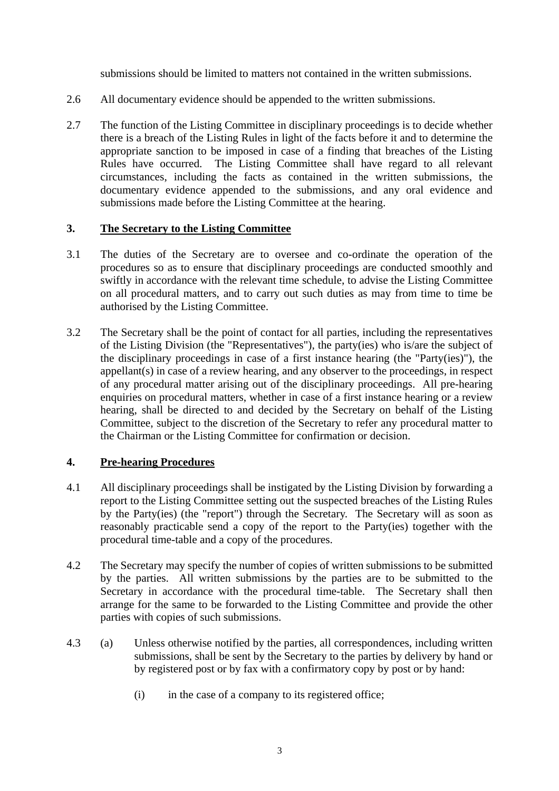submissions should be limited to matters not contained in the written submissions.

- 2.6 All documentary evidence should be appended to the written submissions.
- 2.7 The function of the Listing Committee in disciplinary proceedings is to decide whether there is a breach of the Listing Rules in light of the facts before it and to determine the appropriate sanction to be imposed in case of a finding that breaches of the Listing Rules have occurred. The Listing Committee shall have regard to all relevant circumstances, including the facts as contained in the written submissions, the documentary evidence appended to the submissions, and any oral evidence and submissions made before the Listing Committee at the hearing.

#### **3. The Secretary to the Listing Committee**

- 3.1 The duties of the Secretary are to oversee and co-ordinate the operation of the procedures so as to ensure that disciplinary proceedings are conducted smoothly and swiftly in accordance with the relevant time schedule, to advise the Listing Committee on all procedural matters, and to carry out such duties as may from time to time be authorised by the Listing Committee.
- 3.2 The Secretary shall be the point of contact for all parties, including the representatives of the Listing Division (the "Representatives"), the party(ies) who is/are the subject of the disciplinary proceedings in case of a first instance hearing (the "Party(ies)"), the appellant(s) in case of a review hearing, and any observer to the proceedings, in respect of any procedural matter arising out of the disciplinary proceedings. All pre-hearing enquiries on procedural matters, whether in case of a first instance hearing or a review hearing, shall be directed to and decided by the Secretary on behalf of the Listing Committee, subject to the discretion of the Secretary to refer any procedural matter to the Chairman or the Listing Committee for confirmation or decision.

#### **4. Pre-hearing Procedures**

- 4.1 All disciplinary proceedings shall be instigated by the Listing Division by forwarding a report to the Listing Committee setting out the suspected breaches of the Listing Rules by the Party(ies) (the "report") through the Secretary. The Secretary will as soon as reasonably practicable send a copy of the report to the Party(ies) together with the procedural time-table and a copy of the procedures.
- 4.2 The Secretary may specify the number of copies of written submissions to be submitted by the parties. All written submissions by the parties are to be submitted to the Secretary in accordance with the procedural time-table. The Secretary shall then arrange for the same to be forwarded to the Listing Committee and provide the other parties with copies of such submissions.
- 4.3 (a) Unless otherwise notified by the parties, all correspondences, including written submissions, shall be sent by the Secretary to the parties by delivery by hand or by registered post or by fax with a confirmatory copy by post or by hand:
	- (i) in the case of a company to its registered office;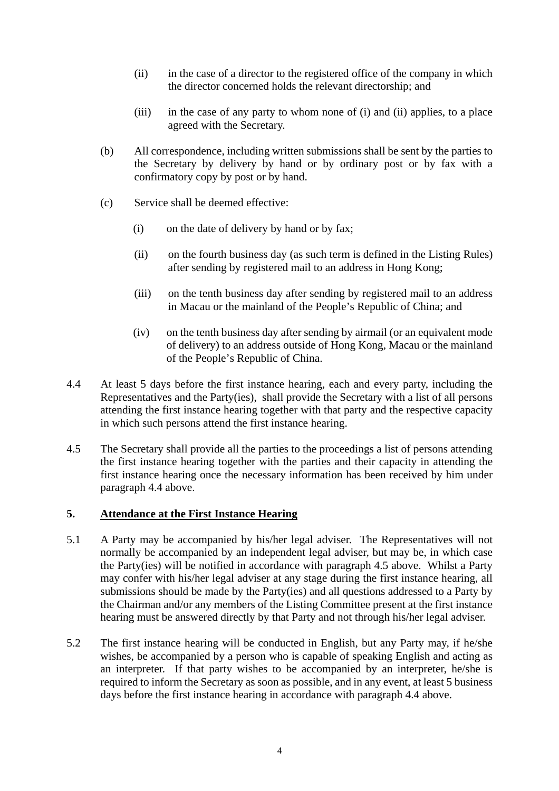- (ii) in the case of a director to the registered office of the company in which the director concerned holds the relevant directorship; and
- (iii) in the case of any party to whom none of (i) and (ii) applies, to a place agreed with the Secretary.
- (b) All correspondence, including written submissions shall be sent by the parties to the Secretary by delivery by hand or by ordinary post or by fax with a confirmatory copy by post or by hand.
- (c) Service shall be deemed effective:
	- (i) on the date of delivery by hand or by fax;
	- (ii) on the fourth business day (as such term is defined in the Listing Rules) after sending by registered mail to an address in Hong Kong;
	- (iii) on the tenth business day after sending by registered mail to an address in Macau or the mainland of the People's Republic of China; and
	- (iv) on the tenth business day after sending by airmail (or an equivalent mode of delivery) to an address outside of Hong Kong, Macau or the mainland of the People's Republic of China.
- 4.4 At least 5 days before the first instance hearing, each and every party, including the Representatives and the Party(ies), shall provide the Secretary with a list of all persons attending the first instance hearing together with that party and the respective capacity in which such persons attend the first instance hearing.
- 4.5 The Secretary shall provide all the parties to the proceedings a list of persons attending the first instance hearing together with the parties and their capacity in attending the first instance hearing once the necessary information has been received by him under paragraph 4.4 above.

# **5. Attendance at the First Instance Hearing**

- 5.1 A Party may be accompanied by his/her legal adviser. The Representatives will not normally be accompanied by an independent legal adviser, but may be, in which case the Party(ies) will be notified in accordance with paragraph 4.5 above. Whilst a Party may confer with his/her legal adviser at any stage during the first instance hearing, all submissions should be made by the Party(ies) and all questions addressed to a Party by the Chairman and/or any members of the Listing Committee present at the first instance hearing must be answered directly by that Party and not through his/her legal adviser.
- 5.2 The first instance hearing will be conducted in English, but any Party may, if he/she wishes, be accompanied by a person who is capable of speaking English and acting as an interpreter. If that party wishes to be accompanied by an interpreter, he/she is required to inform the Secretary as soon as possible, and in any event, at least 5 business days before the first instance hearing in accordance with paragraph 4.4 above.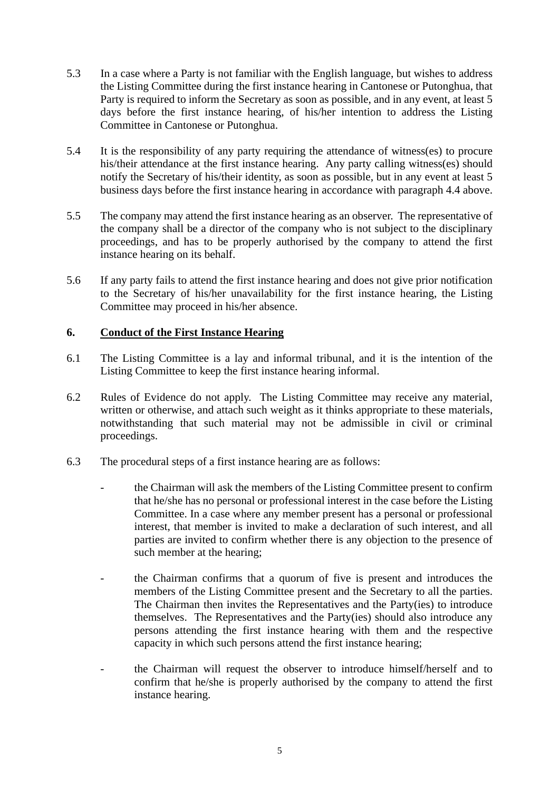- 5.3 In a case where a Party is not familiar with the English language, but wishes to address the Listing Committee during the first instance hearing in Cantonese or Putonghua, that Party is required to inform the Secretary as soon as possible, and in any event, at least 5 days before the first instance hearing, of his/her intention to address the Listing Committee in Cantonese or Putonghua.
- 5.4 It is the responsibility of any party requiring the attendance of witness(es) to procure his/their attendance at the first instance hearing. Any party calling witness(es) should notify the Secretary of his/their identity, as soon as possible, but in any event at least 5 business days before the first instance hearing in accordance with paragraph 4.4 above.
- 5.5 The company may attend the first instance hearing as an observer. The representative of the company shall be a director of the company who is not subject to the disciplinary proceedings, and has to be properly authorised by the company to attend the first instance hearing on its behalf.
- 5.6 If any party fails to attend the first instance hearing and does not give prior notification to the Secretary of his/her unavailability for the first instance hearing, the Listing Committee may proceed in his/her absence.

# **6. Conduct of the First Instance Hearing**

- 6.1 The Listing Committee is a lay and informal tribunal, and it is the intention of the Listing Committee to keep the first instance hearing informal.
- 6.2 Rules of Evidence do not apply. The Listing Committee may receive any material, written or otherwise, and attach such weight as it thinks appropriate to these materials, notwithstanding that such material may not be admissible in civil or criminal proceedings.
- 6.3 The procedural steps of a first instance hearing are as follows:
	- the Chairman will ask the members of the Listing Committee present to confirm that he/she has no personal or professional interest in the case before the Listing Committee. In a case where any member present has a personal or professional interest, that member is invited to make a declaration of such interest, and all parties are invited to confirm whether there is any objection to the presence of such member at the hearing;
	- the Chairman confirms that a quorum of five is present and introduces the members of the Listing Committee present and the Secretary to all the parties. The Chairman then invites the Representatives and the Party(ies) to introduce themselves. The Representatives and the Party(ies) should also introduce any persons attending the first instance hearing with them and the respective capacity in which such persons attend the first instance hearing;
	- the Chairman will request the observer to introduce himself/herself and to confirm that he/she is properly authorised by the company to attend the first instance hearing.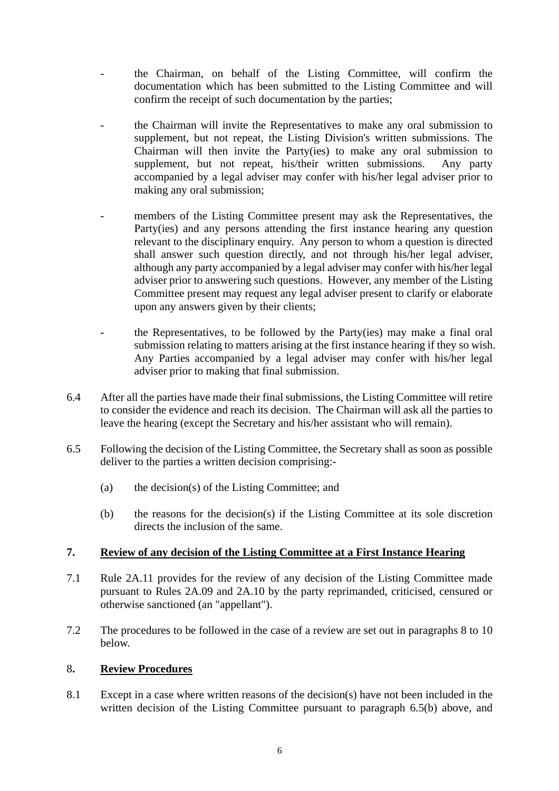- the Chairman, on behalf of the Listing Committee, will confirm the documentation which has been submitted to the Listing Committee and will confirm the receipt of such documentation by the parties;
- the Chairman will invite the Representatives to make any oral submission to supplement, but not repeat, the Listing Division's written submissions. The Chairman will then invite the Party(ies) to make any oral submission to supplement, but not repeat, his/their written submissions. Any party accompanied by a legal adviser may confer with his/her legal adviser prior to making any oral submission;
- members of the Listing Committee present may ask the Representatives, the Party(ies) and any persons attending the first instance hearing any question relevant to the disciplinary enquiry. Any person to whom a question is directed shall answer such question directly, and not through his/her legal adviser, although any party accompanied by a legal adviser may confer with his/her legal adviser prior to answering such questions. However, any member of the Listing Committee present may request any legal adviser present to clarify or elaborate upon any answers given by their clients;
- the Representatives, to be followed by the Party(ies) may make a final oral submission relating to matters arising at the first instance hearing if they so wish. Any Parties accompanied by a legal adviser may confer with his/her legal adviser prior to making that final submission.
- 6.4 After all the parties have made their final submissions, the Listing Committee will retire to consider the evidence and reach its decision. The Chairman will ask all the parties to leave the hearing (except the Secretary and his/her assistant who will remain).
- 6.5 Following the decision of the Listing Committee, the Secretary shall as soon as possible deliver to the parties a written decision comprising:-
	- (a) the decision(s) of the Listing Committee; and
	- (b) the reasons for the decision(s) if the Listing Committee at its sole discretion directs the inclusion of the same.

#### **7. Review of any decision of the Listing Committee at a First Instance Hearing**

- 7.1 Rule 2A.11 provides for the review of any decision of the Listing Committee made pursuant to Rules 2A.09 and 2A.10 by the party reprimanded, criticised, censured or otherwise sanctioned (an "appellant").
- 7.2 The procedures to be followed in the case of a review are set out in paragraphs 8 to 10 below.

# 8**. Review Procedures**

8.1 Except in a case where written reasons of the decision(s) have not been included in the written decision of the Listing Committee pursuant to paragraph 6.5(b) above, and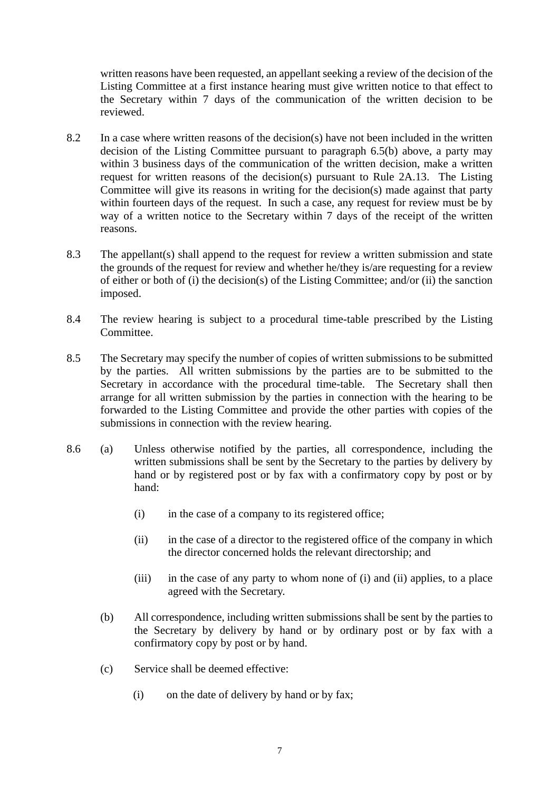written reasons have been requested, an appellant seeking a review of the decision of the Listing Committee at a first instance hearing must give written notice to that effect to the Secretary within 7 days of the communication of the written decision to be reviewed.

- 8.2 In a case where written reasons of the decision(s) have not been included in the written decision of the Listing Committee pursuant to paragraph 6.5(b) above, a party may within 3 business days of the communication of the written decision, make a written request for written reasons of the decision(s) pursuant to Rule 2A.13. The Listing Committee will give its reasons in writing for the decision(s) made against that party within fourteen days of the request. In such a case, any request for review must be by way of a written notice to the Secretary within 7 days of the receipt of the written reasons.
- 8.3 The appellant(s) shall append to the request for review a written submission and state the grounds of the request for review and whether he/they is/are requesting for a review of either or both of (i) the decision(s) of the Listing Committee; and/or (ii) the sanction imposed.
- 8.4 The review hearing is subject to a procedural time-table prescribed by the Listing Committee.
- 8.5 The Secretary may specify the number of copies of written submissions to be submitted by the parties. All written submissions by the parties are to be submitted to the Secretary in accordance with the procedural time-table. The Secretary shall then arrange for all written submission by the parties in connection with the hearing to be forwarded to the Listing Committee and provide the other parties with copies of the submissions in connection with the review hearing.
- 8.6 (a) Unless otherwise notified by the parties, all correspondence, including the written submissions shall be sent by the Secretary to the parties by delivery by hand or by registered post or by fax with a confirmatory copy by post or by hand:
	- (i) in the case of a company to its registered office;
	- (ii) in the case of a director to the registered office of the company in which the director concerned holds the relevant directorship; and
	- (iii) in the case of any party to whom none of (i) and (ii) applies, to a place agreed with the Secretary.
	- (b) All correspondence, including written submissions shall be sent by the parties to the Secretary by delivery by hand or by ordinary post or by fax with a confirmatory copy by post or by hand.
	- (c) Service shall be deemed effective:
		- (i) on the date of delivery by hand or by fax;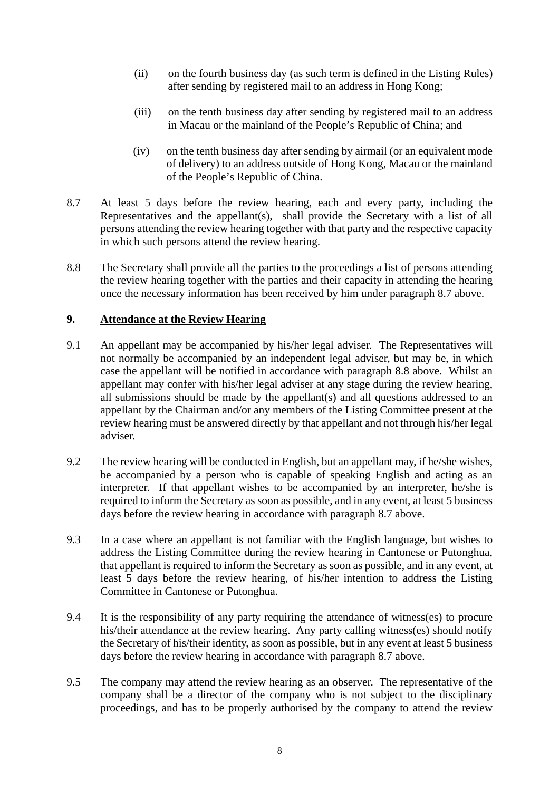- (ii) on the fourth business day (as such term is defined in the Listing Rules) after sending by registered mail to an address in Hong Kong;
- (iii) on the tenth business day after sending by registered mail to an address in Macau or the mainland of the People's Republic of China; and
- (iv) on the tenth business day after sending by airmail (or an equivalent mode of delivery) to an address outside of Hong Kong, Macau or the mainland of the People's Republic of China.
- 8.7 At least 5 days before the review hearing, each and every party, including the Representatives and the appellant(s), shall provide the Secretary with a list of all persons attending the review hearing together with that party and the respective capacity in which such persons attend the review hearing.
- 8.8 The Secretary shall provide all the parties to the proceedings a list of persons attending the review hearing together with the parties and their capacity in attending the hearing once the necessary information has been received by him under paragraph 8.7 above.

# **9. Attendance at the Review Hearing**

- 9.1 An appellant may be accompanied by his/her legal adviser. The Representatives will not normally be accompanied by an independent legal adviser, but may be, in which case the appellant will be notified in accordance with paragraph 8.8 above. Whilst an appellant may confer with his/her legal adviser at any stage during the review hearing, all submissions should be made by the appellant(s) and all questions addressed to an appellant by the Chairman and/or any members of the Listing Committee present at the review hearing must be answered directly by that appellant and not through his/her legal adviser.
- 9.2 The review hearing will be conducted in English, but an appellant may, if he/she wishes, be accompanied by a person who is capable of speaking English and acting as an interpreter. If that appellant wishes to be accompanied by an interpreter, he/she is required to inform the Secretary as soon as possible, and in any event, at least 5 business days before the review hearing in accordance with paragraph 8.7 above.
- 9.3 In a case where an appellant is not familiar with the English language, but wishes to address the Listing Committee during the review hearing in Cantonese or Putonghua, that appellant is required to inform the Secretary as soon as possible, and in any event, at least 5 days before the review hearing, of his/her intention to address the Listing Committee in Cantonese or Putonghua.
- 9.4 It is the responsibility of any party requiring the attendance of witness(es) to procure his/their attendance at the review hearing. Any party calling witness(es) should notify the Secretary of his/their identity, as soon as possible, but in any event at least 5 business days before the review hearing in accordance with paragraph 8.7 above.
- 9.5 The company may attend the review hearing as an observer. The representative of the company shall be a director of the company who is not subject to the disciplinary proceedings, and has to be properly authorised by the company to attend the review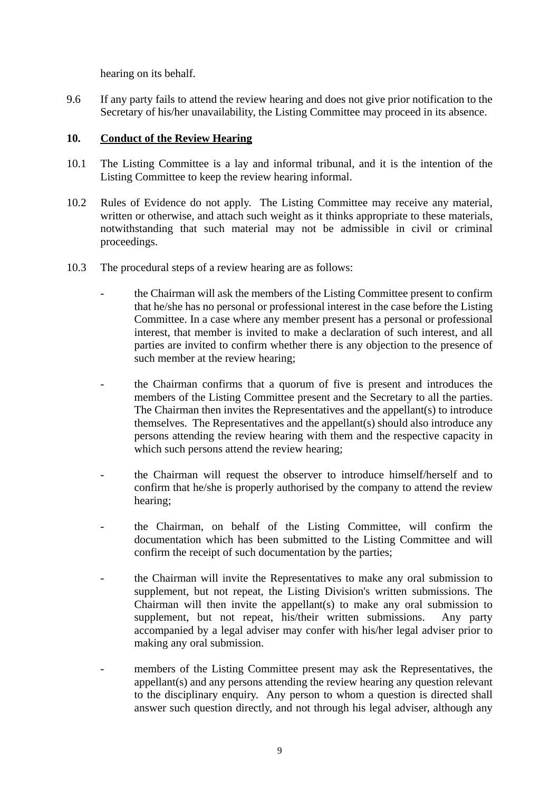hearing on its behalf.

9.6 If any party fails to attend the review hearing and does not give prior notification to the Secretary of his/her unavailability, the Listing Committee may proceed in its absence.

#### **10. Conduct of the Review Hearing**

- 10.1 The Listing Committee is a lay and informal tribunal, and it is the intention of the Listing Committee to keep the review hearing informal.
- 10.2 Rules of Evidence do not apply. The Listing Committee may receive any material, written or otherwise, and attach such weight as it thinks appropriate to these materials, notwithstanding that such material may not be admissible in civil or criminal proceedings.
- 10.3 The procedural steps of a review hearing are as follows:
	- the Chairman will ask the members of the Listing Committee present to confirm that he/she has no personal or professional interest in the case before the Listing Committee. In a case where any member present has a personal or professional interest, that member is invited to make a declaration of such interest, and all parties are invited to confirm whether there is any objection to the presence of such member at the review hearing;
	- the Chairman confirms that a quorum of five is present and introduces the members of the Listing Committee present and the Secretary to all the parties. The Chairman then invites the Representatives and the appellant(s) to introduce themselves. The Representatives and the appellant(s) should also introduce any persons attending the review hearing with them and the respective capacity in which such persons attend the review hearing;
	- the Chairman will request the observer to introduce himself/herself and to confirm that he/she is properly authorised by the company to attend the review hearing;
	- the Chairman, on behalf of the Listing Committee, will confirm the documentation which has been submitted to the Listing Committee and will confirm the receipt of such documentation by the parties;
	- the Chairman will invite the Representatives to make any oral submission to supplement, but not repeat, the Listing Division's written submissions. The Chairman will then invite the appellant(s) to make any oral submission to supplement, but not repeat, his/their written submissions. Any party accompanied by a legal adviser may confer with his/her legal adviser prior to making any oral submission.
	- members of the Listing Committee present may ask the Representatives, the appellant(s) and any persons attending the review hearing any question relevant to the disciplinary enquiry. Any person to whom a question is directed shall answer such question directly, and not through his legal adviser, although any